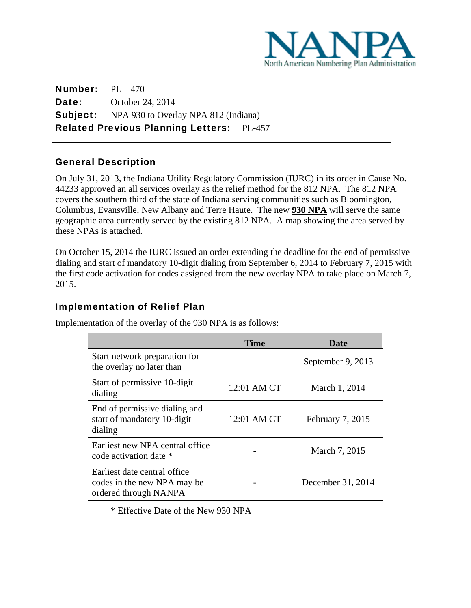

Number: PL – 470 **Date:** October 24, 2014 Subject: NPA 930 to Overlay NPA 812 (Indiana) Related Previous Planning Letters: PL-457

## General Description

 $\overline{a}$ 

On July 31, 2013, the Indiana Utility Regulatory Commission (IURC) in its order in Cause No. 44233 approved an all services overlay as the relief method for the 812 NPA. The 812 NPA covers the southern third of the state of Indiana serving communities such as Bloomington, Columbus, Evansville, New Albany and Terre Haute. The new **930 NPA** will serve the same geographic area currently served by the existing 812 NPA. A map showing the area served by these NPAs is attached.

On October 15, 2014 the IURC issued an order extending the deadline for the end of permissive dialing and start of mandatory 10-digit dialing from September 6, 2014 to February 7, 2015 with the first code activation for codes assigned from the new overlay NPA to take place on March 7, 2015.

## Implementation of Relief Plan

Implementation of the overlay of the 930 NPA is as follows:

|                                                                                      | Time        | Date              |
|--------------------------------------------------------------------------------------|-------------|-------------------|
| Start network preparation for<br>the overlay no later than                           |             | September 9, 2013 |
| Start of permissive 10-digit<br>dialing                                              | 12:01 AM CT | March 1, 2014     |
| End of permissive dialing and<br>start of mandatory 10-digit<br>dialing              | 12:01 AM CT | February 7, 2015  |
| Earliest new NPA central office<br>code activation date *                            |             | March 7, 2015     |
| Earliest date central office<br>codes in the new NPA may be<br>ordered through NANPA |             | December 31, 2014 |

\* Effective Date of the New 930 NPA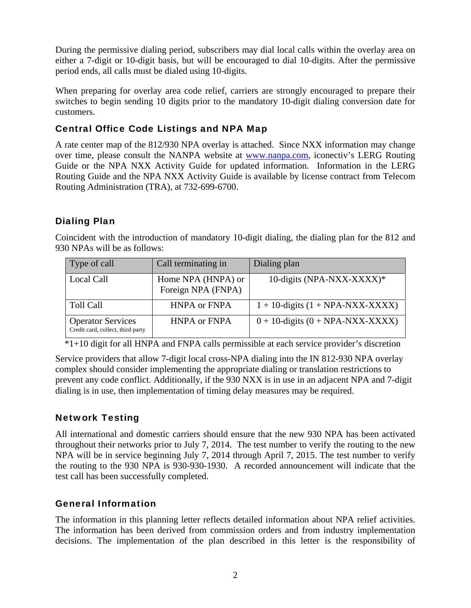During the permissive dialing period, subscribers may dial local calls within the overlay area on either a 7-digit or 10-digit basis, but will be encouraged to dial 10-digits. After the permissive period ends, all calls must be dialed using 10-digits.

When preparing for overlay area code relief, carriers are strongly encouraged to prepare their switches to begin sending 10 digits prior to the mandatory 10-digit dialing conversion date for customers.

# Central Office Code Listings and NPA Map

A rate center map of the 812/930 NPA overlay is attached. Since NXX information may change over time, please consult the NANPA website at www.nanpa.com, iconectiv's LERG Routing Guide or the NPA NXX Activity Guide for updated information. Information in the LERG Routing Guide and the NPA NXX Activity Guide is available by license contract from Telecom Routing Administration (TRA), at 732-699-6700.

# Dialing Plan

Coincident with the introduction of mandatory 10-digit dialing, the dialing plan for the 812 and 930 NPAs will be as follows:

| Type of call                                                  | Call terminating in                      | Dialing plan                          |
|---------------------------------------------------------------|------------------------------------------|---------------------------------------|
| Local Call                                                    | Home NPA (HNPA) or<br>Foreign NPA (FNPA) | 10-digits (NPA-NXX-XXXX)*             |
| <b>Toll Call</b>                                              | <b>HNPA or FNPA</b>                      | $1 + 10$ -digits $(1 + NPA-NXX-XXXX)$ |
| <b>Operator Services</b><br>Credit card, collect, third party | <b>HNPA or FNPA</b>                      | $0 + 10$ -digits $(0 + NPA-NXX-XXXX)$ |

\*1+10 digit for all HNPA and FNPA calls permissible at each service provider's discretion

Service providers that allow 7-digit local cross-NPA dialing into the IN 812-930 NPA overlay complex should consider implementing the appropriate dialing or translation restrictions to prevent any code conflict. Additionally, if the 930 NXX is in use in an adjacent NPA and 7-digit dialing is in use, then implementation of timing delay measures may be required.

# Network Testing

All international and domestic carriers should ensure that the new 930 NPA has been activated throughout their networks prior to July 7, 2014. The test number to verify the routing to the new NPA will be in service beginning July 7, 2014 through April 7, 2015. The test number to verify the routing to the 930 NPA is 930-930-1930. A recorded announcement will indicate that the test call has been successfully completed.

# General Information

The information in this planning letter reflects detailed information about NPA relief activities. The information has been derived from commission orders and from industry implementation decisions. The implementation of the plan described in this letter is the responsibility of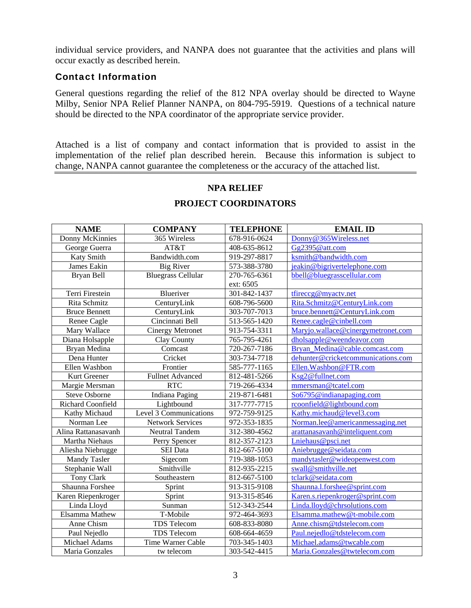individual service providers, and NANPA does not guarantee that the activities and plans will occur exactly as described herein.

#### Contact Information

General questions regarding the relief of the 812 NPA overlay should be directed to Wayne Milby, Senior NPA Relief Planner NANPA, on 804-795-5919. Questions of a technical nature should be directed to the NPA coordinator of the appropriate service provider.

Attached is a list of company and contact information that is provided to assist in the implementation of the relief plan described herein. Because this information is subject to change, NANPA cannot guarantee the completeness or the accuracy of the attached list.

#### **NPA RELIEF**

| <b>NAME</b>          | <b>COMPANY</b>            | <b>TELEPHONE</b> | <b>EMAIL ID</b>                    |
|----------------------|---------------------------|------------------|------------------------------------|
| Donny McKinnies      | 365 Wireless              | 678-916-0624     | Donny@365Wireless.net              |
| George Guerra        | AT&T                      | 408-635-8612     | Gg2395@att.com                     |
| Katy Smith           | Bandwidth.com             | 919-297-8817     | ksmith@bandwidth.com               |
| James Eakin          | <b>Big River</b>          | 573-388-3780     | jeakin@bigrivertelephone.com       |
| Bryan Bell           | <b>Bluegrass Cellular</b> | 270-765-6361     | bbell@bluegrasscellular.com        |
|                      |                           | ext: 6505        |                                    |
| Terri Firestein      | Blueriver                 | 301-842-1437     | tfireccg@myactv.net                |
| Rita Schmitz         | CenturyLink               | 608-796-5600     | Rita.Schmitz@CenturyLink.com       |
| <b>Bruce Bennett</b> | CenturyLink               | 303-707-7013     | bruce.bennett@CenturyLink.com      |
| Renee Cagle          | Cincinnati Bell           | 513-565-1420     | Renee.cagle@cinbell.com            |
| Mary Wallace         | <b>Cinergy Metronet</b>   | 913-754-3311     | Maryjo.wallace@cinergymetronet.com |
| Diana Holsapple      | Clay County               | 765-795-4261     | dholsapple@weendeavor.com          |
| Bryan Medina         | Comcast                   | 720-267-7186     | Bryan_Medina@cable.comcast.com     |
| Dena Hunter          | Cricket                   | 303-734-7718     | dehunter@cricketcommunications.com |
| Ellen Washbon        | Frontier                  | 585-777-1165     | Ellen.Washbon@FTR.com              |
| Kurt Greener         | <b>Fullnet Advanced</b>   | 812-481-5266     | Ksg2@fullnet.com                   |
| Margie Mersman       | <b>RTC</b>                | 719-266-4334     | mmersman@tcatel.com                |
| <b>Steve Osborne</b> | <b>Indiana Paging</b>     | 219-871-6481     | So6795@indianapaging.com           |
| Richard Coonfield    | Lightbound                | 317-777-7715     | rcoonfield@lightbound.com          |
| Kathy Michaud        | Level 3 Communications    | 972-759-9125     | Kathy.michaud@level3.com           |
| Norman Lee           | <b>Network Services</b>   | 972-353-1835     | Norman.lee@americanmessaging.net   |
| Alina Rattanasavanh  | <b>Neutral Tandem</b>     | 312-380-4562     | arattanasavanh@inteliquent.com     |
| Martha Niehaus       | Perry Spencer             | 812-357-2123     | Lniehaus@psci.net                  |
| Aliesha Niebrugge    | <b>SEI</b> Data           | 812-667-5100     | Aniebrugge@seidata.com             |
| Mandy Tasler         | Sigecom                   | 719-388-1053     | mandytasler@wideopenwest.com       |
| Stephanie Wall       | Smithville                | 812-935-2215     | swall@smithville.net               |
| Tony Clark           | Southeastern              | 812-667-5100     | tclark@seidata.com                 |
| Shaunna Forshee      | Sprint                    | 913-315-9108     | Shaunna.l.forshee@sprint.com       |
| Karen Riepenkroger   | Sprint                    | 913-315-8546     | Karen.s.riepenkroger@sprint.com    |
| Linda Lloyd          | Sunman                    | 512-343-2544     | Linda.lloyd@chrsolutions.com       |
| Elsamma Mathew       | T-Mobile                  | 972-464-3693     | Elsamma.mathew@t-mobile.com        |
| Anne Chism           | TDS Telecom               | 608-833-8080     | Anne.chism@tdstelecom.com          |
| Paul Nejedlo         | TDS Telecom               | 608-664-4659     | Paul.nejedlo@tdstelecom.com        |
| Michael Adams        | Time Warner Cable         | 703-345-1403     | Michael.adams@twcable.com          |
| Maria Gonzales       | tw telecom                | 303-542-4415     | Maria.Gonzales@twtelecom.com       |

## **PROJECT COORDINATORS**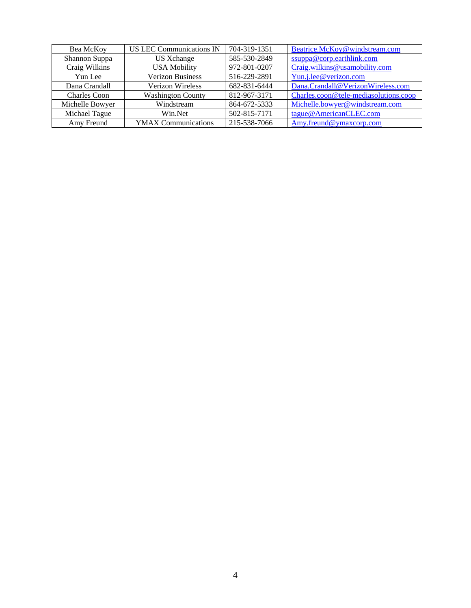| Bea McKoy           | <b>US LEC Communications IN</b> | 704-319-1351 | Beatrice.McKoy@windstream.com         |
|---------------------|---------------------------------|--------------|---------------------------------------|
| Shannon Suppa       | US Xchange                      | 585-530-2849 | ssuppa@corp.earthlink.com             |
| Craig Wilkins       | <b>USA Mobility</b>             | 972-801-0207 | Craig.wilkins@usamobility.com         |
| Yun Lee             | <b>Verizon Business</b>         | 516-229-2891 | Yun.j.lee@verizon.com                 |
| Dana Crandall       | <b>Verizon Wireless</b>         | 682-831-6444 | Dana.Crandall@VerizonWireless.com     |
| <b>Charles Coon</b> | <b>Washington County</b>        | 812-967-3171 | Charles.coon@tele-mediasolutions.coop |
| Michelle Bowyer     | Windstream                      | 864-672-5333 | Michelle.bowyer@windstream.com        |
| Michael Tague       | Win.Net                         | 502-815-7171 | tague@AmericanCLEC.com                |
| Amy Freund          | <b>YMAX Communications</b>      | 215-538-7066 | Amy.freund@ymaxcorp.com               |